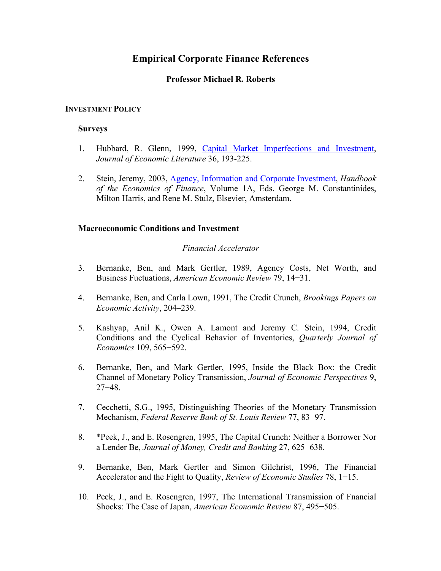# **Empirical Corporate Finance References**

# **Professor Michael R. Roberts**

# **INVESTMENT POLICY**

# **Surveys**

- 1. Hubbard, R. Glenn, 1999, Capital Market Imperfections and Investment, *Journal of Economic Literature* 36, 193-225.
- 2. Stein, Jeremy, 2003, Agency, Information and Corporate Investment, *Handbook of the Economics of Finance*, Volume 1A, Eds. George M. Constantinides, Milton Harris, and Rene M. Stulz, Elsevier, Amsterdam.

# **Macroeconomic Conditions and Investment**

# *Financial Accelerator*

- 3. Bernanke, Ben, and Mark Gertler, 1989, Agency Costs, Net Worth, and Business Fuctuations, *American Economic Review* 79, 14−31.
- 4. Bernanke, Ben, and Carla Lown, 1991, The Credit Crunch, *Brookings Papers on Economic Activity*, 204–239.
- 5. Kashyap, Anil K., Owen A. Lamont and Jeremy C. Stein, 1994, Credit Conditions and the Cyclical Behavior of Inventories, *Quarterly Journal of Economics* 109, 565−592.
- 6. Bernanke, Ben, and Mark Gertler, 1995, Inside the Black Box: the Credit Channel of Monetary Policy Transmission, *Journal of Economic Perspectives* 9, 27−48.
- 7. Cecchetti, S.G., 1995, Distinguishing Theories of the Monetary Transmission Mechanism, *Federal Reserve Bank of St. Louis Review* 77, 83−97.
- 8. \*Peek, J., and E. Rosengren, 1995, The Capital Crunch: Neither a Borrower Nor a Lender Be, *Journal of Money, Credit and Banking* 27, 625−638.
- 9. Bernanke, Ben, Mark Gertler and Simon Gilchrist, 1996, The Financial Accelerator and the Fight to Quality, *Review of Economic Studies* 78, 1−15.
- 10. Peek, J., and E. Rosengren, 1997, The International Transmission of Fnancial Shocks: The Case of Japan, *American Economic Review* 87, 495−505.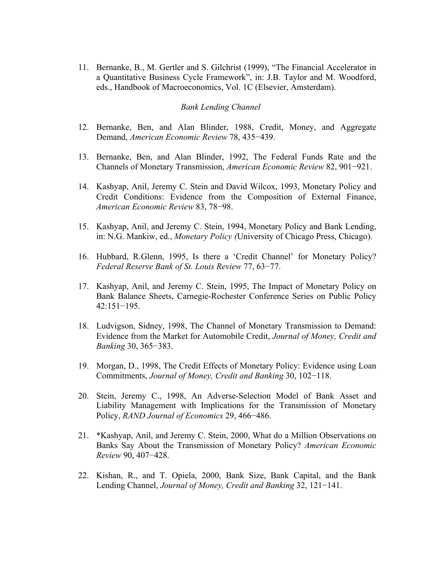11. Bernanke, B., M. Gertler and S. Gilchrist (1999), "The Financial Accelerator in a Quantitative Business Cycle Framework", in: J.B. Taylor and M. Woodford, eds., Handbook of Macroeconomics, Vol. 1C (Elsevier, Amsterdam).

### *Bank Lending Channel*

- 12. Bernanke, Ben, and Alan Blinder, 1988, Credit, Money, and Aggregate Demand, *American Economic Review* 78, 435−439.
- 13. Bernanke, Ben, and Alan Blinder, 1992, The Federal Funds Rate and the Channels of Monetary Transmission, *American Economic Review* 82, 901−921.
- 14. Kashyap, Anil, Jeremy C. Stein and David Wilcox, 1993, Monetary Policy and Credit Conditions: Evidence from the Composition of External Finance, *American Economic Review* 83, 78−98.
- 15. Kashyap, Anil, and Jeremy C. Stein, 1994, Monetary Policy and Bank Lending, in: N.G. Mankiw, ed., *Monetary Policy (*University of Chicago Press, Chicago).
- 16. Hubbard, R.Glenn, 1995, Is there a 'Credit Channel' for Monetary Policy? *Federal Reserve Bank of St. Louis Review* 77, 63−77.
- 17. Kashyap, Anil, and Jeremy C. Stein, 1995, The Impact of Monetary Policy on Bank Balance Sheets, Carnegie-Rochester Conference Series on Public Policy 42:151−195.
- 18. Ludvigson, Sidney, 1998, The Channel of Monetary Transmission to Demand: Evidence from the Market for Automobile Credit, *Journal of Money, Credit and Banking* 30, 365−383.
- 19. Morgan, D., 1998, The Credit Effects of Monetary Policy: Evidence using Loan Commitments, *Journal of Money, Credit and Banking* 30, 102−118.
- 20. Stein, Jeremy C., 1998, An Adverse-Selection Model of Bank Asset and Liability Management with Implications for the Transmission of Monetary Policy, *RAND Journal of Economics* 29, 466−486.
- 21. \*Kashyap, Anil, and Jeremy C. Stein, 2000, What do a Million Observations on Banks Say About the Transmission of Monetary Policy? *American Economic Review* 90, 407−428.
- 22. Kishan, R., and T. Opiela, 2000, Bank Size, Bank Capital, and the Bank Lending Channel, *Journal of Money, Credit and Banking* 32, 121−141.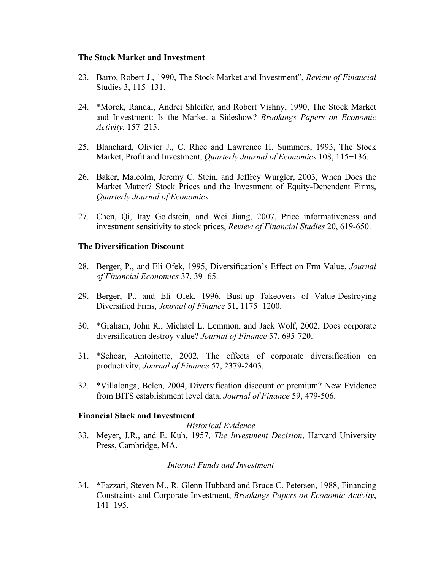### **The Stock Market and Investment**

- 23. Barro, Robert J., 1990, The Stock Market and Investment", *Review of Financial* Studies 3, 115−131.
- 24. \*Morck, Randal, Andrei Shleifer, and Robert Vishny, 1990, The Stock Market and Investment: Is the Market a Sideshow? *Brookings Papers on Economic Activity*, 157–215.
- 25. Blanchard, Olivier J., C. Rhee and Lawrence H. Summers, 1993, The Stock Market, Profit and Investment, *Quarterly Journal of Economics* 108, 115−136.
- 26. Baker, Malcolm, Jeremy C. Stein, and Jeffrey Wurgler, 2003, When Does the Market Matter? Stock Prices and the Investment of Equity-Dependent Firms, *Quarterly Journal of Economics*
- 27. Chen, Qi, Itay Goldstein, and Wei Jiang, 2007, Price informativeness and investment sensitivity to stock prices, *Review of Financial Studies* 20, 619-650.

# **The Diversification Discount**

- 28. Berger, P., and Eli Ofek, 1995, Diversification's Effect on Frm Value, *Journal of Financial Economics* 37, 39−65.
- 29. Berger, P., and Eli Ofek, 1996, Bust-up Takeovers of Value-Destroying Diversified Frms, *Journal of Finance* 51, 1175−1200.
- 30. \*Graham, John R., Michael L. Lemmon, and Jack Wolf, 2002, Does corporate diversification destroy value? *Journal of Finance* 57, 695-720.
- 31. \*Schoar, Antoinette, 2002, The effects of corporate diversification on productivity, *Journal of Finance* 57, 2379-2403.
- 32. \*Villalonga, Belen, 2004, Diversification discount or premium? New Evidence from BITS establishment level data, *Journal of Finance* 59, 479-506.

#### **Financial Slack and Investment**

#### *Historical Evidence*

33. Meyer, J.R., and E. Kuh, 1957, *The Investment Decision*, Harvard University Press, Cambridge, MA.

# *Internal Funds and Investment*

34. \*Fazzari, Steven M., R. Glenn Hubbard and Bruce C. Petersen, 1988, Financing Constraints and Corporate Investment, *Brookings Papers on Economic Activity*, 141–195.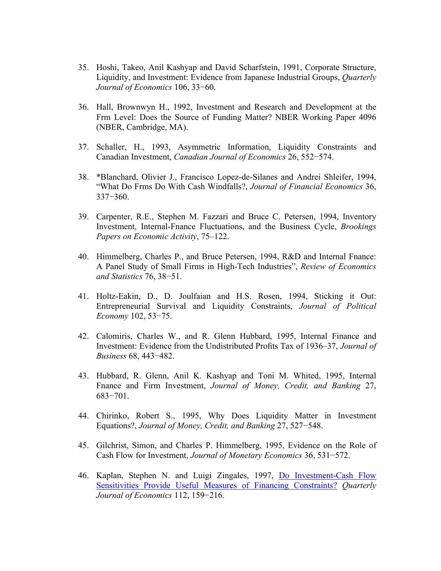- 35. Hoshi, Takeo, Anil Kashyap and David Scharfstein, 1991, Corporate Structure, Liquidity, and Investment: Evidence from Japanese Industrial Groups, *Quarterly Journal of Economics* 106, 33−60.
- 36. Hall, Brownwyn H., 1992, Investment and Research and Development at the Frm Level: Does the Source of Funding Matter? NBER Working Paper 4096 (NBER, Cambridge, MA).
- 37. Schaller, H., 1993, Asymmetric Information, Liquidity Constraints and Canadian Investment, *Canadian Journal of Economics* 26, 552−574.
- 38. \*Blanchard, Olivier J., Francisco Lopez-de-Silanes and Andrei Shleifer, 1994, "What Do Frms Do With Cash Windfalls?, *Journal of Financial Economics* 36, 337−360.
- 39. Carpenter, R.E., Stephen M. Fazzari and Bruce C. Petersen, 1994, Inventory Investment, Internal-Fnance Fluctuations, and the Business Cycle, *Brookings Papers on Economic Activity*, 75–122.
- 40. Himmelberg, Charles P., and Bruce Petersen, 1994, R&D and Internal Fnance: A Panel Study of Small Firms in High-Tech Industries", *Review of Economics and Statistics* 76, 38−51.
- 41. Holtz-Eakin, D., D. Joulfaian and H.S. Rosen, 1994, Sticking it Out: Entrepreneurial Survival and Liquidity Constraints, *Journal of Political Economy* 102, 53−75.
- 42. Calomiris, Charles W., and R. Glenn Hubbard, 1995, Internal Finance and Investment: Evidence from the Undistributed Profits Tax of 1936–37, *Journal of Business* 68, 443−482.
- 43. Hubbard, R. Glenn, Anil K. Kashyap and Toni M. Whited, 1995, Internal Fnance and Firm Investment, *Journal of Money, Credit, and Banking* 27, 683−701.
- 44. Chirinko, Robert S., 1995, Why Does Liquidity Matter in Investment Equations?, *Journal of Money, Credit, and Banking* 27, 527−548.
- 45. Gilchrist, Simon, and Charles P. Himmelberg, 1995, Evidence on the Role of Cash Flow for Investment, *Journal of Monetary Economics* 36, 531−572.
- 46. Kaplan, Stephen N. and Luigi Zingales, 1997, Do Investment-Cash Flow Sensitivities Provide Useful Measures of Financing Constraints? *Quarterly Journal of Economics* 112, 159−216.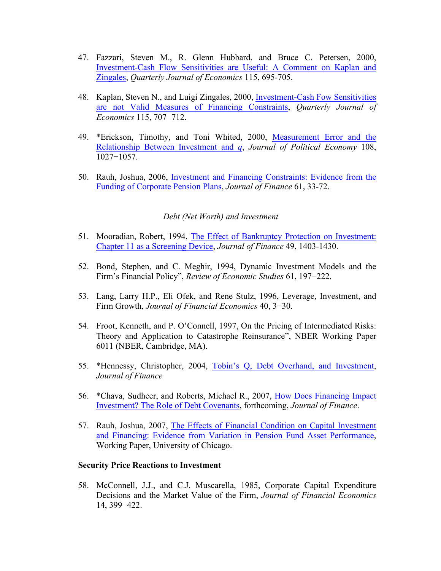- 47. Fazzari, Steven M., R. Glenn Hubbard, and Bruce C. Petersen, 2000, Investment-Cash Flow Sensitivities are Useful: A Comment on Kaplan and Zingales, *Quarterly Journal of Economics* 115, 695-705.
- 48. Kaplan, Steven N., and Luigi Zingales, 2000, Investment-Cash Fow Sensitivities are not Valid Measures of Financing Constraints, *Quarterly Journal of Economics* 115, 707−712.
- 49. \*Erickson, Timothy, and Toni Whited, 2000, Measurement Error and the Relationship Between Investment and *q*, *Journal of Political Economy* 108, 1027−1057.
- 50. Rauh, Joshua, 2006, Investment and Financing Constraints: Evidence from the Funding of Corporate Pension Plans, *Journal of Finance* 61, 33-72.

#### *Debt (Net Worth) and Investment*

- 51. Mooradian, Robert, 1994, The Effect of Bankruptcy Protection on Investment: Chapter 11 as a Screening Device, *Journal of Finance* 49, 1403-1430.
- 52. Bond, Stephen, and C. Meghir, 1994, Dynamic Investment Models and the Firm's Financial Policy", *Review of Economic Studies* 61, 197−222.
- 53. Lang, Larry H.P., Eli Ofek, and Rene Stulz, 1996, Leverage, Investment, and Firm Growth, *Journal of Financial Economics* 40, 3−30.
- 54. Froot, Kenneth, and P. O'Connell, 1997, On the Pricing of Intermediated Risks: Theory and Application to Catastrophe Reinsurance", NBER Working Paper 6011 (NBER, Cambridge, MA).
- 55. \*Hennessy, Christopher, 2004, Tobin's Q, Debt Overhand, and Investment, *Journal of Finance*
- 56. \*Chava, Sudheer, and Roberts, Michael R., 2007, How Does Financing Impact Investment? The Role of Debt Covenants, forthcoming, *Journal of Finance*.
- 57. Rauh, Joshua, 2007, The Effects of Financial Condition on Capital Investment and Financing: Evidence from Variation in Pension Fund Asset Performance, Working Paper, University of Chicago.

### **Security Price Reactions to Investment**

58. McConnell, J.J., and C.J. Muscarella, 1985, Corporate Capital Expenditure Decisions and the Market Value of the Firm, *Journal of Financial Economics* 14, 399−422.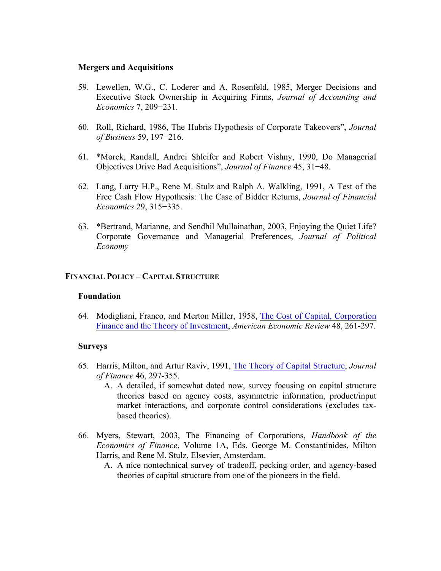# **Mergers and Acquisitions**

- 59. Lewellen, W.G., C. Loderer and A. Rosenfeld, 1985, Merger Decisions and Executive Stock Ownership in Acquiring Firms, *Journal of Accounting and Economics* 7, 209−231.
- 60. Roll, Richard, 1986, The Hubris Hypothesis of Corporate Takeovers", *Journal of Business* 59, 197−216.
- 61. \*Morck, Randall, Andrei Shleifer and Robert Vishny, 1990, Do Managerial Objectives Drive Bad Acquisitions", *Journal of Finance* 45, 31−48.
- 62. Lang, Larry H.P., Rene M. Stulz and Ralph A. Walkling, 1991, A Test of the Free Cash Flow Hypothesis: The Case of Bidder Returns, *Journal of Financial Economics* 29, 315−335.
- 63. \*Bertrand, Marianne, and Sendhil Mullainathan, 2003, Enjoying the Quiet Life? Corporate Governance and Managerial Preferences, *Journal of Political Economy*

### **FINANCIAL POLICY – CAPITAL STRUCTURE**

#### **Foundation**

64. Modigliani, Franco, and Merton Miller, 1958, The Cost of Capital, Corporation Finance and the Theory of Investment, *American Economic Review* 48, 261-297.

#### **Surveys**

- 65. Harris, Milton, and Artur Raviv, 1991, The Theory of Capital Structure, *Journal of Finance* 46, 297-355.
	- A. A detailed, if somewhat dated now, survey focusing on capital structure theories based on agency costs, asymmetric information, product/input market interactions, and corporate control considerations (excludes taxbased theories).
- 66. Myers, Stewart, 2003, The Financing of Corporations, *Handbook of the Economics of Finance*, Volume 1A, Eds. George M. Constantinides, Milton Harris, and Rene M. Stulz, Elsevier, Amsterdam.
	- A. A nice nontechnical survey of tradeoff, pecking order, and agency-based theories of capital structure from one of the pioneers in the field.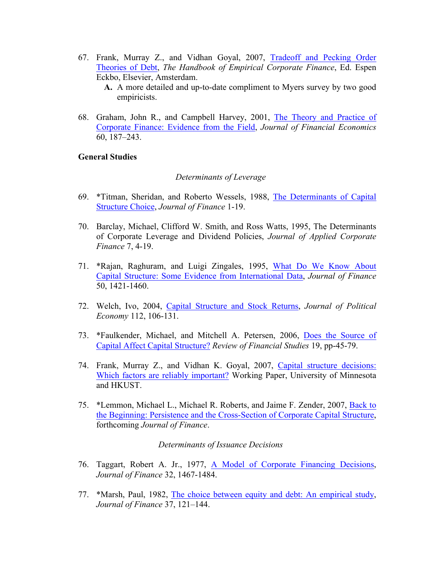67. Frank, Murray Z., and Vidhan Goyal, 2007, Tradeoff and Pecking Order Theories of Debt, *The Handbook of Empirical Corporate Finance*, Ed. Espen Eckbo, Elsevier, Amsterdam.

**A.** A more detailed and up-to-date compliment to Myers survey by two good empiricists.

68. Graham, John R., and Campbell Harvey, 2001, The Theory and Practice of Corporate Finance: Evidence from the Field, *Journal of Financial Economics* 60, 187–243.

### **General Studies**

### *Determinants of Leverage*

- 69. \*Titman, Sheridan, and Roberto Wessels, 1988, The Determinants of Capital Structure Choice, *Journal of Finance* 1-19.
- 70. Barclay, Michael, Clifford W. Smith, and Ross Watts, 1995, The Determinants of Corporate Leverage and Dividend Policies, *Journal of Applied Corporate Finance* 7, 4-19.
- 71. \*Rajan, Raghuram, and Luigi Zingales, 1995, What Do We Know About Capital Structure: Some Evidence from International Data, *Journal of Finance* 50, 1421-1460.
- 72. Welch, Ivo, 2004, Capital Structure and Stock Returns, *Journal of Political Economy* 112, 106-131.
- 73. \*Faulkender, Michael, and Mitchell A. Petersen, 2006, Does the Source of Capital Affect Capital Structure? *Review of Financial Studies* 19, pp-45-79.
- 74. Frank, Murray Z., and Vidhan K. Goyal, 2007, Capital structure decisions: Which factors are reliably important? Working Paper, University of Minnesota and HKUST.
- 75. \*Lemmon, Michael L., Michael R. Roberts, and Jaime F. Zender, 2007, Back to the Beginning: Persistence and the Cross-Section of Corporate Capital Structure, forthcoming *Journal of Finance*.

### *Determinants of Issuance Decisions*

- 76. Taggart, Robert A. Jr., 1977, A Model of Corporate Financing Decisions, *Journal of Finance* 32, 1467-1484.
- 77. \*Marsh, Paul, 1982, The choice between equity and debt: An empirical study, *Journal of Finance* 37, 121–144.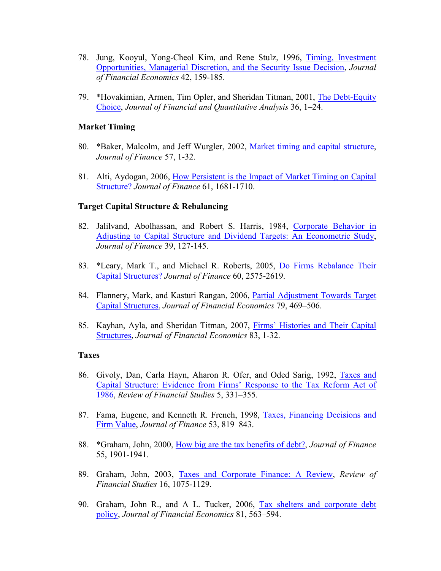- 78. Jung, Kooyul, Yong-Cheol Kim, and Rene Stulz, 1996, Timing, Investment Opportunities, Managerial Discretion, and the Security Issue Decision, *Journal of Financial Economics* 42, 159-185.
- 79. \*Hovakimian, Armen, Tim Opler, and Sheridan Titman, 2001, The Debt-Equity Choice, *Journal of Financial and Quantitative Analysis* 36, 1–24.

### **Market Timing**

- 80. \*Baker, Malcolm, and Jeff Wurgler, 2002, Market timing and capital structure, *Journal of Finance* 57, 1-32.
- 81. Alti, Aydogan, 2006, How Persistent is the Impact of Market Timing on Capital Structure? *Journal of Finance* 61, 1681-1710.

### **Target Capital Structure & Rebalancing**

- 82. Jalilvand, Abolhassan, and Robert S. Harris, 1984, Corporate Behavior in Adjusting to Capital Structure and Dividend Targets: An Econometric Study, *Journal of Finance* 39, 127-145.
- 83. \*Leary, Mark T., and Michael R. Roberts, 2005, Do Firms Rebalance Their Capital Structures? *Journal of Finance* 60, 2575-2619.
- 84. Flannery, Mark, and Kasturi Rangan, 2006, Partial Adjustment Towards Target Capital Structures, *Journal of Financial Economics* 79, 469–506.
- 85. Kayhan, Ayla, and Sheridan Titman, 2007, Firms' Histories and Their Capital Structures, *Journal of Financial Economics* 83, 1-32.

#### **Taxes**

- 86. Givoly, Dan, Carla Hayn, Aharon R. Ofer, and Oded Sarig, 1992, Taxes and Capital Structure: Evidence from Firms' Response to the Tax Reform Act of 1986, *Review of Financial Studies* 5, 331–355.
- 87. Fama, Eugene, and Kenneth R. French, 1998, Taxes, Financing Decisions and Firm Value, *Journal of Finance* 53, 819–843.
- 88. \*Graham, John, 2000, How big are the tax benefits of debt?, *Journal of Finance* 55, 1901-1941.
- 89. Graham, John, 2003, Taxes and Corporate Finance: A Review, *Review of Financial Studies* 16, 1075-1129.
- 90. Graham, John R., and A L. Tucker, 2006, Tax shelters and corporate debt policy, *Journal of Financial Economics* 81, 563–594.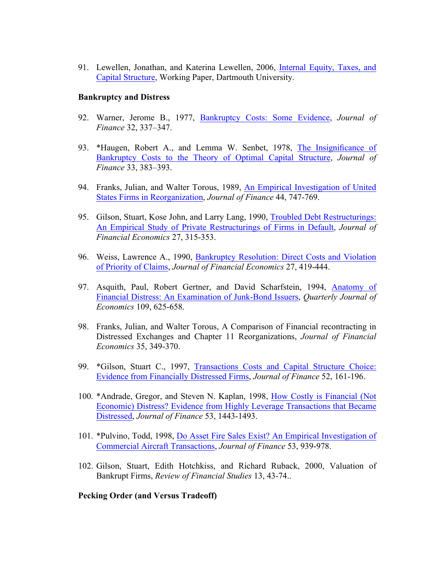91. Lewellen, Jonathan, and Katerina Lewellen, 2006, Internal Equity, Taxes, and Capital Structure, Working Paper, Dartmouth University.

#### **Bankruptcy and Distress**

- 92. Warner, Jerome B., 1977, Bankruptcy Costs: Some Evidence, *Journal of Finance* 32, 337–347.
- 93. \*Haugen, Robert A., and Lemma W. Senbet, 1978, The Insignificance of Bankruptcy Costs to the Theory of Optimal Capital Structure, *Journal of Finance* 33, 383–393.
- 94. Franks, Julian, and Walter Torous, 1989, An Empirical Investigation of United States Firms in Reorganization, *Journal of Finance* 44, 747-769.
- 95. Gilson, Stuart, Kose John, and Larry Lang, 1990, Troubled Debt Restructurings: An Empirical Study of Private Restructurings of Firms in Default, *Journal of Financial Economics* 27, 315-353.
- 96. Weiss, Lawrence A., 1990, Bankruptcy Resolution: Direct Costs and Violation of Priority of Claims, *Journal of Financial Economics* 27, 419-444.
- 97. Asquith, Paul, Robert Gertner, and David Scharfstein, 1994, Anatomy of Financial Distress: An Examination of Junk-Bond Issuers, *Quarterly Journal of Economics* 109, 625-658.
- 98. Franks, Julian, and Walter Torous, A Comparison of Financial recontracting in Distressed Exchanges and Chapter 11 Reorganizations, *Journal of Financial Economics* 35, 349-370.
- 99. \*Gilson, Stuart C., 1997, Transactions Costs and Capital Structure Choice: Evidence from Financially Distressed Firms, *Journal of Finance* 52, 161-196.
- 100. \*Andrade, Gregor, and Steven N. Kaplan, 1998, How Costly is Financial (Not Economic) Distress? Evidence from Highly Leverage Transactions that Became Distressed, *Journal of Finance* 53, 1443-1493.
- 101. \*Pulvino, Todd, 1998, Do Asset Fire Sales Exist? An Empirical Investigation of Commercial Aircraft Transactions, *Journal of Finance* 53, 939-978.
- 102. Gilson, Stuart, Edith Hotchkiss, and Richard Ruback, 2000, Valuation of Bankrupt Firms, *Review of Financial Studies* 13, 43-74..

## **Pecking Order (and Versus Tradeoff)**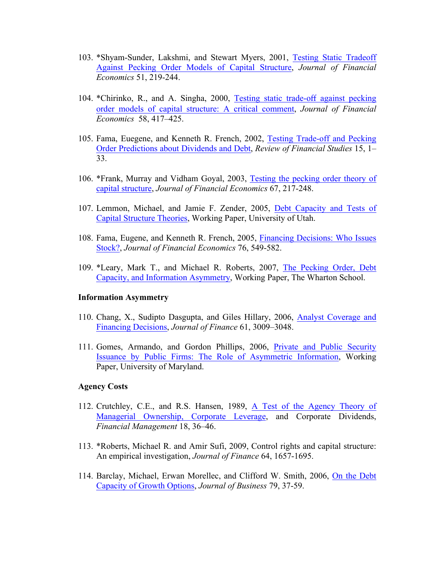- 103. \*Shyam-Sunder, Lakshmi, and Stewart Myers, 2001, Testing Static Tradeoff Against Pecking Order Models of Capital Structure, *Journal of Financial Economics* 51, 219-244.
- 104. \*Chirinko, R., and A. Singha, 2000, Testing static trade-off against pecking order models of capital structure: A critical comment, *Journal of Financial Economics* 58, 417–425.
- 105. Fama, Euegene, and Kenneth R. French, 2002, Testing Trade-off and Pecking Order Predictions about Dividends and Debt, *Review of Financial Studies* 15, 1– 33.
- 106. \*Frank, Murray and Vidham Goyal, 2003, Testing the pecking order theory of capital structure, *Journal of Financial Economics* 67, 217-248.
- 107. Lemmon, Michael, and Jamie F. Zender, 2005, Debt Capacity and Tests of Capital Structure Theories, Working Paper, University of Utah.
- 108. Fama, Eugene, and Kenneth R. French, 2005, Financing Decisions: Who Issues Stock?, *Journal of Financial Economics* 76, 549-582.
- 109. \*Leary, Mark T., and Michael R. Roberts, 2007, The Pecking Order, Debt Capacity, and Information Asymmetry, Working Paper, The Wharton School.

### **Information Asymmetry**

- 110. Chang, X., Sudipto Dasgupta, and Giles Hillary, 2006, Analyst Coverage and Financing Decisions, *Journal of Finance* 61, 3009–3048.
- 111. Gomes, Armando, and Gordon Phillips, 2006, Private and Public Security Issuance by Public Firms: The Role of Asymmetric Information, Working Paper, University of Maryland.

#### **Agency Costs**

- 112. Crutchley, C.E., and R.S. Hansen, 1989, A Test of the Agency Theory of Managerial Ownership, Corporate Leverage, and Corporate Dividends, *Financial Management* 18, 36–46.
- 113. \*Roberts, Michael R. and Amir Sufi, 2009, Control rights and capital structure: An empirical investigation, *Journal of Finance* 64, 1657-1695.
- 114. Barclay, Michael, Erwan Morellec, and Clifford W. Smith, 2006, On the Debt Capacity of Growth Options, *Journal of Business* 79, 37-59.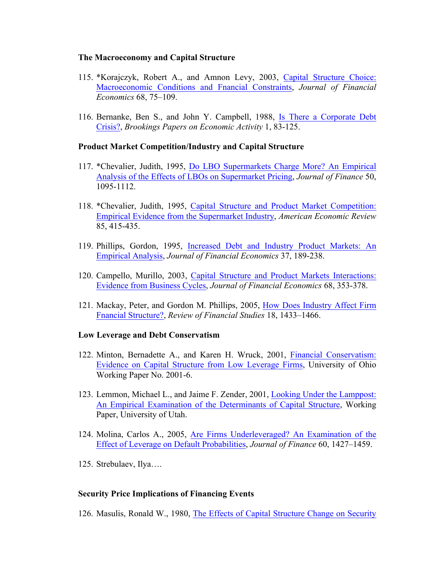# **The Macroeconomy and Capital Structure**

- 115. \*Korajczyk, Robert A., and Amnon Levy, 2003, Capital Structure Choice: Macroeconomic Conditions and Fnancial Constraints, *Journal of Financial Economics* 68, 75–109.
- 116. Bernanke, Ben S., and John Y. Campbell, 1988, Is There a Corporate Debt Crisis?, *Brookings Papers on Economic Activity* 1, 83-125.

# **Product Market Competition/Industry and Capital Structure**

- 117. \*Chevalier, Judith, 1995, Do LBO Supermarkets Charge More? An Empirical Analysis of the Effects of LBOs on Supermarket Pricing, *Journal of Finance* 50, 1095-1112.
- 118. \*Chevalier, Judith, 1995, Capital Structure and Product Market Competition: Empirical Evidence from the Supermarket Industry, *American Economic Review* 85, 415-435.
- 119. Phillips, Gordon, 1995, Increased Debt and Industry Product Markets: An Empirical Analysis, *Journal of Financial Economics* 37, 189-238.
- 120. Campello, Murillo, 2003, Capital Structure and Product Markets Interactions: Evidence from Business Cycles, *Journal of Financial Economics* 68, 353-378.
- 121. Mackay, Peter, and Gordon M. Phillips, 2005, How Does Industry Affect Firm Fnancial Structure?, *Review of Financial Studies* 18, 1433–1466.

#### **Low Leverage and Debt Conservatism**

- 122. Minton, Bernadette A., and Karen H. Wruck, 2001, Financial Conservatism: Evidence on Capital Structure from Low Leverage Firms, University of Ohio Working Paper No. 2001-6.
- 123. Lemmon, Michael L., and Jaime F. Zender, 2001, Looking Under the Lamppost: An Empirical Examination of the Determinants of Capital Structure, Working Paper, University of Utah.
- 124. Molina, Carlos A., 2005, Are Firms Underleveraged? An Examination of the Effect of Leverage on Default Probabilities, *Journal of Finance* 60, 1427–1459.
- 125. Strebulaev, Ilya….

# **Security Price Implications of Financing Events**

126. Masulis, Ronald W., 1980, The Effects of Capital Structure Change on Security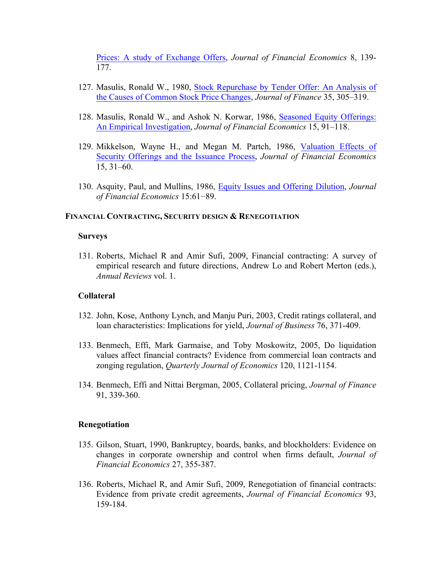Prices: A study of Exchange Offers, *Journal of Financial Economics* 8, 139- 177.

- 127. Masulis, Ronald W., 1980, Stock Repurchase by Tender Offer: An Analysis of the Causes of Common Stock Price Changes, *Journal of Finance* 35, 305–319.
- 128. Masulis, Ronald W., and Ashok N. Korwar, 1986, Seasoned Equity Offerings: An Empirical Investigation, *Journal of Financial Economics* 15, 91–118.
- 129. Mikkelson, Wayne H., and Megan M. Partch, 1986, Valuation Effects of Security Offerings and the Issuance Process, *Journal of Financial Economics* 15, 31–60.
- 130. Asquity, Paul, and Mullins, 1986, Equity Issues and Offering Dilution, *Journal of Financial Economics* 15:61−89.

### **FINANCIAL CONTRACTING, SECURITY DESIGN & RENEGOTIATION**

#### **Surveys**

131. Roberts, Michael R and Amir Sufi, 2009, Financial contracting: A survey of empirical research and future directions, Andrew Lo and Robert Merton (eds.), *Annual Reviews* vol. 1.

### **Collateral**

- 132. John, Kose, Anthony Lynch, and Manju Puri, 2003, Credit ratings collateral, and loan characteristics: Implications for yield, *Journal of Business* 76, 371-409.
- 133. Benmech, Effi, Mark Garmaise, and Toby Moskowitz, 2005, Do liquidation values affect financial contracts? Evidence from commercial loan contracts and zonging regulation, *Quarterly Journal of Economics* 120, 1121-1154.
- 134. Benmech, Effi and Nittai Bergman, 2005, Collateral pricing, *Journal of Finance*  91, 339-360.

#### **Renegotiation**

- 135. Gilson, Stuart, 1990, Bankruptcy, boards, banks, and blockholders: Evidence on changes in corporate ownership and control when firms default, *Journal of Financial Economics* 27, 355-387.
- 136. Roberts, Michael R, and Amir Sufi, 2009, Renegotiation of financial contracts: Evidence from private credit agreements, *Journal of Financial Economics* 93, 159-184.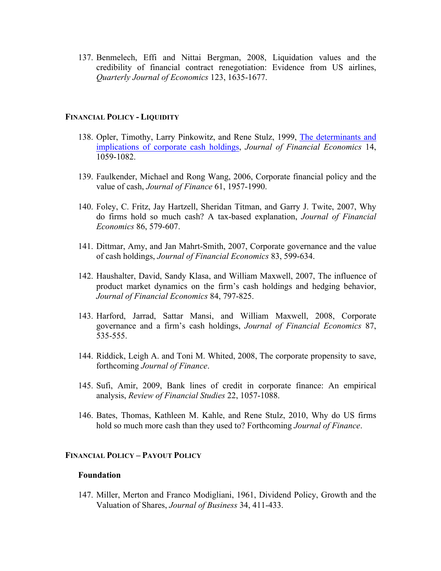137. Benmelech, Effi and Nittai Bergman, 2008, Liquidation values and the credibility of financial contract renegotiation: Evidence from US airlines, *Quarterly Journal of Economics* 123, 1635-1677.

#### **FINANCIAL POLICY - LIQUIDITY**

- 138. Opler, Timothy, Larry Pinkowitz, and Rene Stulz, 1999, The determinants and implications of corporate cash holdings, *Journal of Financial Economics* 14, 1059-1082.
- 139. Faulkender, Michael and Rong Wang, 2006, Corporate financial policy and the value of cash, *Journal of Finance* 61, 1957-1990.
- 140. Foley, C. Fritz, Jay Hartzell, Sheridan Titman, and Garry J. Twite, 2007, Why do firms hold so much cash? A tax-based explanation, *Journal of Financial Economics* 86, 579-607.
- 141. Dittmar, Amy, and Jan Mahrt-Smith, 2007, Corporate governance and the value of cash holdings, *Journal of Financial Economics* 83, 599-634.
- 142. Haushalter, David, Sandy Klasa, and William Maxwell, 2007, The influence of product market dynamics on the firm's cash holdings and hedging behavior, *Journal of Financial Economics* 84, 797-825.
- 143. Harford, Jarrad, Sattar Mansi, and William Maxwell, 2008, Corporate governance and a firm's cash holdings, *Journal of Financial Economics* 87, 535-555.
- 144. Riddick, Leigh A. and Toni M. Whited, 2008, The corporate propensity to save, forthcoming *Journal of Finance*.
- 145. Sufi, Amir, 2009, Bank lines of credit in corporate finance: An empirical analysis, *Review of Financial Studies* 22, 1057-1088.
- 146. Bates, Thomas, Kathleen M. Kahle, and Rene Stulz, 2010, Why do US firms hold so much more cash than they used to? Forthcoming *Journal of Finance*.

#### **FINANCIAL POLICY – PAYOUT POLICY**

#### **Foundation**

147. Miller, Merton and Franco Modigliani, 1961, Dividend Policy, Growth and the Valuation of Shares, *Journal of Business* 34, 411-433.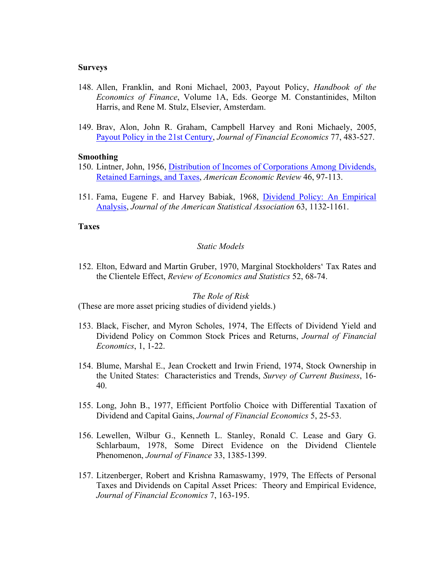#### **Surveys**

- 148. Allen, Franklin, and Roni Michael, 2003, Payout Policy, *Handbook of the Economics of Finance*, Volume 1A, Eds. George M. Constantinides, Milton Harris, and Rene M. Stulz, Elsevier, Amsterdam.
- 149. Brav, Alon, John R. Graham, Campbell Harvey and Roni Michaely, 2005, Payout Policy in the 21st Century, *Journal of Financial Economics* 77, 483-527.

#### **Smoothing**

- 150. Lintner, John, 1956, Distribution of Incomes of Corporations Among Dividends, Retained Earnings, and Taxes, *American Economic Review* 46, 97-113.
- 151. Fama, Eugene F. and Harvey Babiak, 1968, Dividend Policy: An Empirical Analysis, *Journal of the American Statistical Association* 63, 1132-1161.

#### **Taxes**

#### *Static Models*

152. Elton, Edward and Martin Gruber, 1970, Marginal Stockholders' Tax Rates and the Clientele Effect, *Review of Economics and Statistics* 52, 68-74.

#### *The Role of Risk*

(These are more asset pricing studies of dividend yields.)

- 153. Black, Fischer, and Myron Scholes, 1974, The Effects of Dividend Yield and Dividend Policy on Common Stock Prices and Returns, *Journal of Financial Economics*, 1, 1-22.
- 154. Blume, Marshal E., Jean Crockett and Irwin Friend, 1974, Stock Ownership in the United States: Characteristics and Trends, *Survey of Current Business*, 16- 40.
- 155. Long, John B., 1977, Efficient Portfolio Choice with Differential Taxation of Dividend and Capital Gains, *Journal of Financial Economics* 5, 25-53.
- 156. Lewellen, Wilbur G., Kenneth L. Stanley, Ronald C. Lease and Gary G. Schlarbaum, 1978, Some Direct Evidence on the Dividend Clientele Phenomenon, *Journal of Finance* 33, 1385-1399.
- 157. Litzenberger, Robert and Krishna Ramaswamy, 1979, The Effects of Personal Taxes and Dividends on Capital Asset Prices: Theory and Empirical Evidence, *Journal of Financial Economics* 7, 163-195.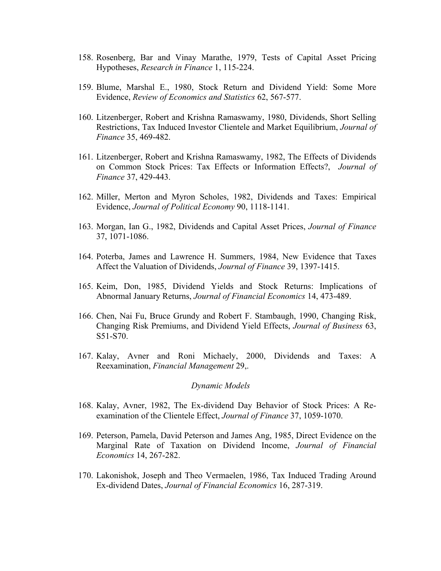- 158. Rosenberg, Bar and Vinay Marathe, 1979, Tests of Capital Asset Pricing Hypotheses, *Research in Finance* 1, 115-224.
- 159. Blume, Marshal E., 1980, Stock Return and Dividend Yield: Some More Evidence, *Review of Economics and Statistics* 62, 567-577.
- 160. Litzenberger, Robert and Krishna Ramaswamy, 1980, Dividends, Short Selling Restrictions, Tax Induced Investor Clientele and Market Equilibrium, *Journal of Finance* 35, 469-482.
- 161. Litzenberger, Robert and Krishna Ramaswamy, 1982, The Effects of Dividends on Common Stock Prices: Tax Effects or Information Effects?, *Journal of Finance* 37, 429-443.
- 162. Miller, Merton and Myron Scholes, 1982, Dividends and Taxes: Empirical Evidence, *Journal of Political Economy* 90, 1118-1141.
- 163. Morgan, Ian G., 1982, Dividends and Capital Asset Prices, *Journal of Finance* 37, 1071-1086.
- 164. Poterba, James and Lawrence H. Summers, 1984, New Evidence that Taxes Affect the Valuation of Dividends, *Journal of Finance* 39, 1397-1415.
- 165. Keim, Don, 1985, Dividend Yields and Stock Returns: Implications of Abnormal January Returns, *Journal of Financial Economics* 14, 473-489.
- 166. Chen, Nai Fu, Bruce Grundy and Robert F. Stambaugh, 1990, Changing Risk, Changing Risk Premiums, and Dividend Yield Effects, *Journal of Business* 63, S51-S70.
- 167. Kalay, Avner and Roni Michaely, 2000, Dividends and Taxes: A Reexamination, *Financial Management* 29,.

#### *Dynamic Models*

- 168. Kalay, Avner, 1982, The Ex-dividend Day Behavior of Stock Prices: A Reexamination of the Clientele Effect, *Journal of Finance* 37, 1059-1070.
- 169. Peterson, Pamela, David Peterson and James Ang, 1985, Direct Evidence on the Marginal Rate of Taxation on Dividend Income, *Journal of Financial Economics* 14, 267-282.
- 170. Lakonishok, Joseph and Theo Vermaelen, 1986, Tax Induced Trading Around Ex-dividend Dates, *Journal of Financial Economics* 16, 287-319.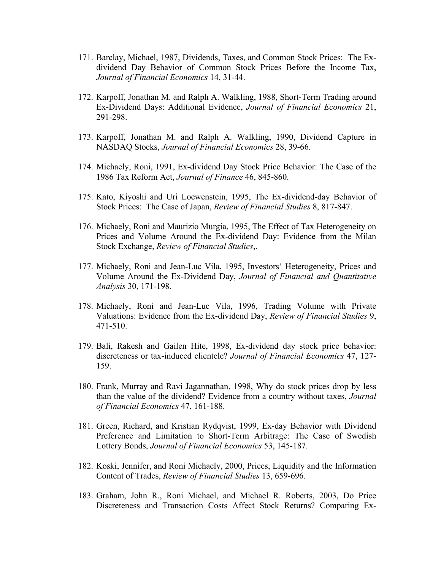- 171. Barclay, Michael, 1987, Dividends, Taxes, and Common Stock Prices: The Exdividend Day Behavior of Common Stock Prices Before the Income Tax, *Journal of Financial Economics* 14, 31-44.
- 172. Karpoff, Jonathan M. and Ralph A. Walkling, 1988, Short-Term Trading around Ex-Dividend Days: Additional Evidence, *Journal of Financial Economics* 21, 291-298.
- 173. Karpoff, Jonathan M. and Ralph A. Walkling, 1990, Dividend Capture in NASDAQ Stocks, *Journal of Financial Economics* 28, 39-66.
- 174. Michaely, Roni, 1991, Ex-dividend Day Stock Price Behavior: The Case of the 1986 Tax Reform Act, *Journal of Finance* 46, 845-860.
- 175. Kato, Kiyoshi and Uri Loewenstein, 1995, The Ex-dividend-day Behavior of Stock Prices: The Case of Japan, *Review of Financial Studies* 8, 817-847.
- 176. Michaely, Roni and Maurizio Murgia, 1995, The Effect of Tax Heterogeneity on Prices and Volume Around the Ex-dividend Day: Evidence from the Milan Stock Exchange, *Review of Financial Studies*,.
- 177. Michaely, Roni and Jean-Luc Vila, 1995, Investors' Heterogeneity, Prices and Volume Around the Ex-Dividend Day, *Journal of Financial and Quantitative Analysis* 30, 171-198.
- 178. Michaely, Roni and Jean-Luc Vila, 1996, Trading Volume with Private Valuations: Evidence from the Ex-dividend Day, *Review of Financial Studies* 9, 471-510.
- 179. Bali, Rakesh and Gailen Hite, 1998, Ex-dividend day stock price behavior: discreteness or tax-induced clientele? *Journal of Financial Economics* 47, 127- 159.
- 180. Frank, Murray and Ravi Jagannathan, 1998, Why do stock prices drop by less than the value of the dividend? Evidence from a country without taxes, *Journal of Financial Economics* 47, 161-188.
- 181. Green, Richard, and Kristian Rydqvist, 1999, Ex-day Behavior with Dividend Preference and Limitation to Short-Term Arbitrage: The Case of Swedish Lottery Bonds, *Journal of Financial Economics* 53, 145-187.
- 182. Koski, Jennifer, and Roni Michaely, 2000, Prices, Liquidity and the Information Content of Trades, *Review of Financial Studies* 13, 659-696.
- 183. Graham, John R., Roni Michael, and Michael R. Roberts, 2003, Do Price Discreteness and Transaction Costs Affect Stock Returns? Comparing Ex-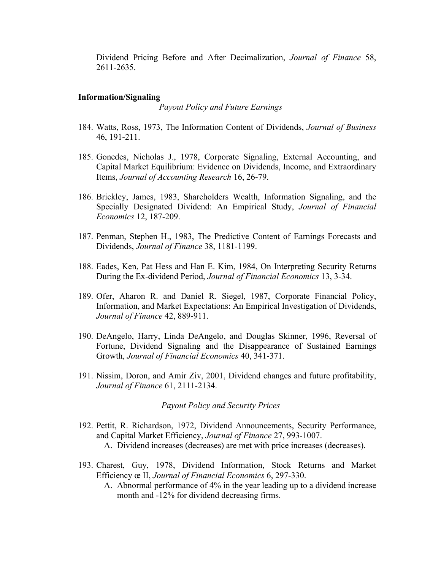Dividend Pricing Before and After Decimalization, *Journal of Finance* 58, 2611-2635.

### **Information/Signaling**

*Payout Policy and Future Earnings*

- 184. Watts, Ross, 1973, The Information Content of Dividends, *Journal of Business* 46, 191-211.
- 185. Gonedes, Nicholas J., 1978, Corporate Signaling, External Accounting, and Capital Market Equilibrium: Evidence on Dividends, Income, and Extraordinary Items, *Journal of Accounting Research* 16, 26-79.
- 186. Brickley, James, 1983, Shareholders Wealth, Information Signaling, and the Specially Designated Dividend: An Empirical Study, *Journal of Financial Economics* 12, 187-209.
- 187. Penman, Stephen H., 1983, The Predictive Content of Earnings Forecasts and Dividends, *Journal of Finance* 38, 1181-1199.
- 188. Eades, Ken, Pat Hess and Han E. Kim, 1984, On Interpreting Security Returns During the Ex-dividend Period, *Journal of Financial Economics* 13, 3-34.
- 189. Ofer, Aharon R. and Daniel R. Siegel, 1987, Corporate Financial Policy, Information, and Market Expectations: An Empirical Investigation of Dividends, *Journal of Finance* 42, 889-911.
- 190. DeAngelo, Harry, Linda DeAngelo, and Douglas Skinner, 1996, Reversal of Fortune, Dividend Signaling and the Disappearance of Sustained Earnings Growth, *Journal of Financial Economics* 40, 341-371.
- 191. Nissim, Doron, and Amir Ziv, 2001, Dividend changes and future profitability, *Journal of Finance* 61, 2111-2134.

#### *Payout Policy and Security Prices*

- 192. Pettit, R. Richardson, 1972, Dividend Announcements, Security Performance, and Capital Market Efficiency, *Journal of Finance* 27, 993-1007. A. Dividend increases (decreases) are met with price increases (decreases).
- 193. Charest, Guy, 1978, Dividend Information, Stock Returns and Market Efficiency œ II, *Journal of Financial Economics* 6, 297-330.
	- A. Abnormal performance of 4% in the year leading up to a dividend increase month and -12% for dividend decreasing firms.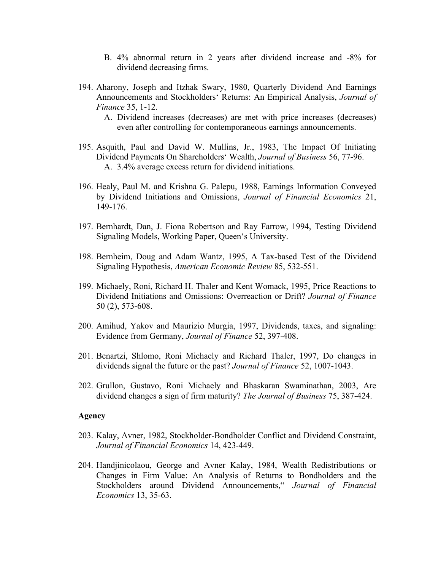- B. 4% abnormal return in 2 years after dividend increase and -8% for dividend decreasing firms.
- 194. Aharony, Joseph and Itzhak Swary, 1980, Quarterly Dividend And Earnings Announcements and Stockholders' Returns: An Empirical Analysis, *Journal of Finance* 35, 1-12.
	- A. Dividend increases (decreases) are met with price increases (decreases) even after controlling for contemporaneous earnings announcements.
- 195. Asquith, Paul and David W. Mullins, Jr., 1983, The Impact Of Initiating Dividend Payments On Shareholders' Wealth, *Journal of Business* 56, 77-96. A. 3.4% average excess return for dividend initiations.
- 196. Healy, Paul M. and Krishna G. Palepu, 1988, Earnings Information Conveyed by Dividend Initiations and Omissions, *Journal of Financial Economics* 21, 149-176.
- 197. Bernhardt, Dan, J. Fiona Robertson and Ray Farrow, 1994, Testing Dividend Signaling Models, Working Paper, Queen's University.
- 198. Bernheim, Doug and Adam Wantz, 1995, A Tax-based Test of the Dividend Signaling Hypothesis, *American Economic Review* 85, 532-551.
- 199. Michaely, Roni, Richard H. Thaler and Kent Womack, 1995, Price Reactions to Dividend Initiations and Omissions: Overreaction or Drift? *Journal of Finance* 50 (2), 573-608.
- 200. Amihud, Yakov and Maurizio Murgia, 1997, Dividends, taxes, and signaling: Evidence from Germany, *Journal of Finance* 52, 397-408.
- 201. Benartzi, Shlomo, Roni Michaely and Richard Thaler, 1997, Do changes in dividends signal the future or the past? *Journal of Finance* 52, 1007-1043.
- 202. Grullon, Gustavo, Roni Michaely and Bhaskaran Swaminathan, 2003, Are dividend changes a sign of firm maturity? *The Journal of Business* 75, 387-424.

## **Agency**

- 203. Kalay, Avner, 1982, Stockholder-Bondholder Conflict and Dividend Constraint, *Journal of Financial Economics* 14, 423-449.
- 204. Handjinicolaou, George and Avner Kalay, 1984, Wealth Redistributions or Changes in Firm Value: An Analysis of Returns to Bondholders and the Stockholders around Dividend Announcements," *Journal of Financial Economics* 13, 35-63.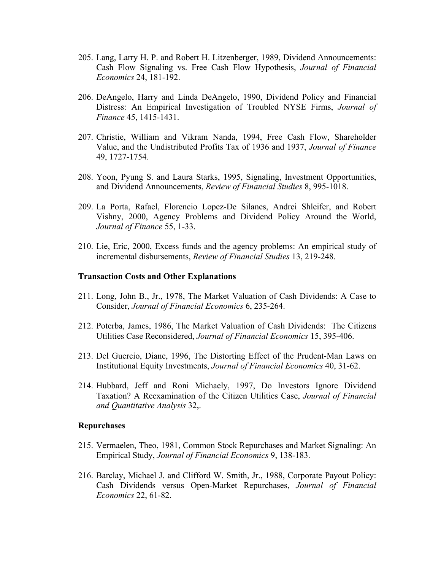- 205. Lang, Larry H. P. and Robert H. Litzenberger, 1989, Dividend Announcements: Cash Flow Signaling vs. Free Cash Flow Hypothesis, *Journal of Financial Economics* 24, 181-192.
- 206. DeAngelo, Harry and Linda DeAngelo, 1990, Dividend Policy and Financial Distress: An Empirical Investigation of Troubled NYSE Firms, *Journal of Finance* 45, 1415-1431.
- 207. Christie, William and Vikram Nanda, 1994, Free Cash Flow, Shareholder Value, and the Undistributed Profits Tax of 1936 and 1937, *Journal of Finance* 49, 1727-1754.
- 208. Yoon, Pyung S. and Laura Starks, 1995, Signaling, Investment Opportunities, and Dividend Announcements, *Review of Financial Studies* 8, 995-1018.
- 209. La Porta, Rafael, Florencio Lopez-De Silanes, Andrei Shleifer, and Robert Vishny, 2000, Agency Problems and Dividend Policy Around the World, *Journal of Finance* 55, 1-33.
- 210. Lie, Eric, 2000, Excess funds and the agency problems: An empirical study of incremental disbursements, *Review of Financial Studies* 13, 219-248.

#### **Transaction Costs and Other Explanations**

- 211. Long, John B., Jr., 1978, The Market Valuation of Cash Dividends: A Case to Consider, *Journal of Financial Economics* 6, 235-264.
- 212. Poterba, James, 1986, The Market Valuation of Cash Dividends: The Citizens Utilities Case Reconsidered, *Journal of Financial Economics* 15, 395-406.
- 213. Del Guercio, Diane, 1996, The Distorting Effect of the Prudent-Man Laws on Institutional Equity Investments, *Journal of Financial Economics* 40, 31-62.
- 214. Hubbard, Jeff and Roni Michaely, 1997, Do Investors Ignore Dividend Taxation? A Reexamination of the Citizen Utilities Case, *Journal of Financial and Quantitative Analysis* 32,.

#### **Repurchases**

- 215. Vermaelen, Theo, 1981, Common Stock Repurchases and Market Signaling: An Empirical Study, *Journal of Financial Economics* 9, 138-183.
- 216. Barclay, Michael J. and Clifford W. Smith, Jr., 1988, Corporate Payout Policy: Cash Dividends versus Open-Market Repurchases, *Journal of Financial Economics* 22, 61-82.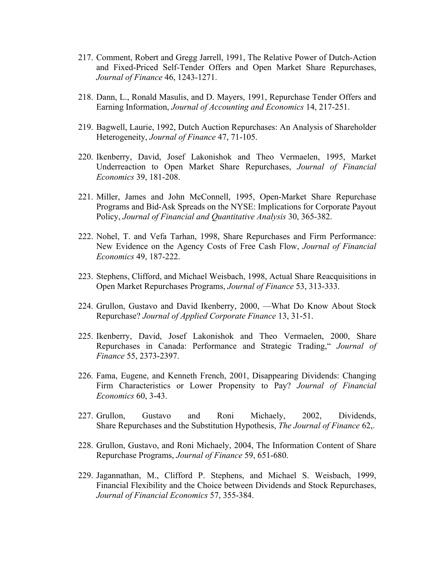- 217. Comment, Robert and Gregg Jarrell, 1991, The Relative Power of Dutch-Action and Fixed-Priced Self-Tender Offers and Open Market Share Repurchases, *Journal of Finance* 46, 1243-1271.
- 218. Dann, L., Ronald Masulis, and D. Mayers, 1991, Repurchase Tender Offers and Earning Information, *Journal of Accounting and Economics* 14, 217-251.
- 219. Bagwell, Laurie, 1992, Dutch Auction Repurchases: An Analysis of Shareholder Heterogeneity, *Journal of Finance* 47, 71-105.
- 220. Ikenberry, David, Josef Lakonishok and Theo Vermaelen, 1995, Market Underreaction to Open Market Share Repurchases, *Journal of Financial Economics* 39, 181-208.
- 221. Miller, James and John McConnell, 1995, Open-Market Share Repurchase Programs and Bid-Ask Spreads on the NYSE: Implications for Corporate Payout Policy, *Journal of Financial and Quantitative Analysis* 30, 365-382.
- 222. Nohel, T. and Vefa Tarhan, 1998, Share Repurchases and Firm Performance: New Evidence on the Agency Costs of Free Cash Flow, *Journal of Financial Economics* 49, 187-222.
- 223. Stephens, Clifford, and Michael Weisbach, 1998, Actual Share Reacquisitions in Open Market Repurchases Programs, *Journal of Finance* 53, 313-333.
- 224. Grullon, Gustavo and David Ikenberry, 2000, —What Do Know About Stock Repurchase? *Journal of Applied Corporate Finance* 13, 31-51.
- 225. Ikenberry, David, Josef Lakonishok and Theo Vermaelen, 2000, Share Repurchases in Canada: Performance and Strategic Trading," *Journal of Finance* 55, 2373-2397.
- 226. Fama, Eugene, and Kenneth French, 2001, Disappearing Dividends: Changing Firm Characteristics or Lower Propensity to Pay? *Journal of Financial Economics* 60, 3-43.
- 227. Grullon, Gustavo and Roni Michaely, 2002, Dividends, Share Repurchases and the Substitution Hypothesis, *The Journal of Finance* 62,.
- 228. Grullon, Gustavo, and Roni Michaely, 2004, The Information Content of Share Repurchase Programs, *Journal of Finance* 59, 651-680.
- 229. Jagannathan, M., Clifford P. Stephens, and Michael S. Weisbach, 1999, Financial Flexibility and the Choice between Dividends and Stock Repurchases, *Journal of Financial Economics* 57, 355-384.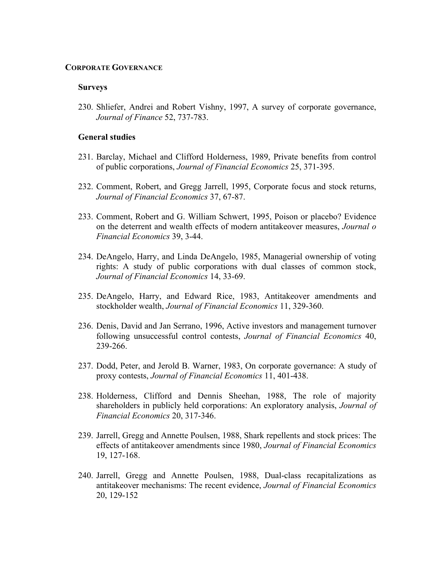#### **CORPORATE GOVERNANCE**

#### **Surveys**

230. Shliefer, Andrei and Robert Vishny, 1997, A survey of corporate governance, *Journal of Finance* 52, 737-783.

#### **General studies**

- 231. Barclay, Michael and Clifford Holderness, 1989, Private benefits from control of public corporations, *Journal of Financial Economics* 25, 371-395.
- 232. Comment, Robert, and Gregg Jarrell, 1995, Corporate focus and stock returns, *Journal of Financial Economics* 37, 67-87.
- 233. Comment, Robert and G. William Schwert, 1995, Poison or placebo? Evidence on the deterrent and wealth effects of modern antitakeover measures, *Journal o Financial Economics* 39, 3-44.
- 234. DeAngelo, Harry, and Linda DeAngelo, 1985, Managerial ownership of voting rights: A study of public corporations with dual classes of common stock, *Journal of Financial Economics* 14, 33-69.
- 235. DeAngelo, Harry, and Edward Rice, 1983, Antitakeover amendments and stockholder wealth, *Journal of Financial Economics* 11, 329-360.
- 236. Denis, David and Jan Serrano, 1996, Active investors and management turnover following unsuccessful control contests, *Journal of Financial Economics* 40, 239-266.
- 237. Dodd, Peter, and Jerold B. Warner, 1983, On corporate governance: A study of proxy contests, *Journal of Financial Economics* 11, 401-438.
- 238. Holderness, Clifford and Dennis Sheehan, 1988, The role of majority shareholders in publicly held corporations: An exploratory analysis, *Journal of Financial Economics* 20, 317-346.
- 239. Jarrell, Gregg and Annette Poulsen, 1988, Shark repellents and stock prices: The effects of antitakeover amendments since 1980, *Journal of Financial Economics*  19, 127-168.
- 240. Jarrell, Gregg and Annette Poulsen, 1988, Dual-class recapitalizations as antitakeover mechanisms: The recent evidence, *Journal of Financial Economics*  20, 129-152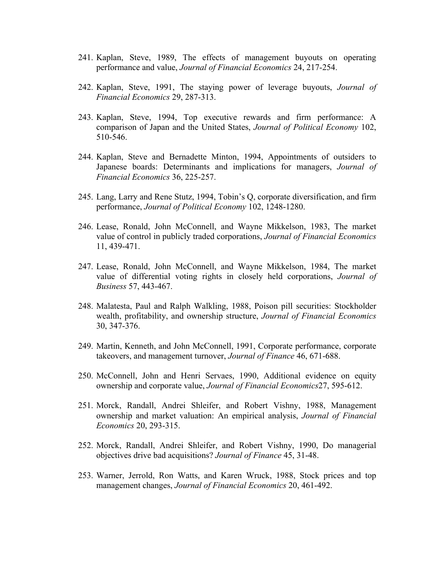- 241. Kaplan, Steve, 1989, The effects of management buyouts on operating performance and value, *Journal of Financial Economics* 24, 217-254.
- 242. Kaplan, Steve, 1991, The staying power of leverage buyouts, *Journal of Financial Economics* 29, 287-313.
- 243. Kaplan, Steve, 1994, Top executive rewards and firm performance: A comparison of Japan and the United States, *Journal of Political Economy* 102, 510-546.
- 244. Kaplan, Steve and Bernadette Minton, 1994, Appointments of outsiders to Japanese boards: Determinants and implications for managers, *Journal of Financial Economics* 36, 225-257.
- 245. Lang, Larry and Rene Stutz, 1994, Tobin's Q, corporate diversification, and firm performance, *Journal of Political Economy* 102, 1248-1280.
- 246. Lease, Ronald, John McConnell, and Wayne Mikkelson, 1983, The market value of control in publicly traded corporations, *Journal of Financial Economics* 11, 439-471.
- 247. Lease, Ronald, John McConnell, and Wayne Mikkelson, 1984, The market value of differential voting rights in closely held corporations, *Journal of Business* 57, 443-467.
- 248. Malatesta, Paul and Ralph Walkling, 1988, Poison pill securities: Stockholder wealth, profitability, and ownership structure, *Journal of Financial Economics*  30, 347-376.
- 249. Martin, Kenneth, and John McConnell, 1991, Corporate performance, corporate takeovers, and management turnover, *Journal of Finance* 46, 671-688.
- 250. McConnell, John and Henri Servaes, 1990, Additional evidence on equity ownership and corporate value, *Journal of Financial Economics*27, 595-612.
- 251. Morck, Randall, Andrei Shleifer, and Robert Vishny, 1988, Management ownership and market valuation: An empirical analysis, *Journal of Financial Economics* 20, 293-315.
- 252. Morck, Randall, Andrei Shleifer, and Robert Vishny, 1990, Do managerial objectives drive bad acquisitions? *Journal of Finance* 45, 31-48.
- 253. Warner, Jerrold, Ron Watts, and Karen Wruck, 1988, Stock prices and top management changes, *Journal of Financial Economics* 20, 461-492.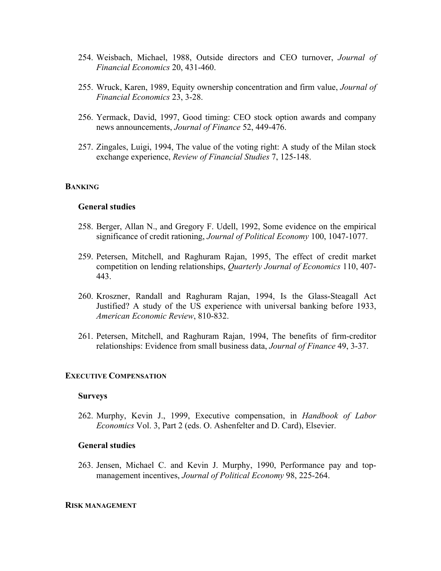- 254. Weisbach, Michael, 1988, Outside directors and CEO turnover, *Journal of Financial Economics* 20, 431-460.
- 255. Wruck, Karen, 1989, Equity ownership concentration and firm value, *Journal of Financial Economics* 23, 3-28.
- 256. Yermack, David, 1997, Good timing: CEO stock option awards and company news announcements, *Journal of Finance* 52, 449-476.
- 257. Zingales, Luigi, 1994, The value of the voting right: A study of the Milan stock exchange experience, *Review of Financial Studies* 7, 125-148.

#### **BANKING**

# **General studies**

- 258. Berger, Allan N., and Gregory F. Udell, 1992, Some evidence on the empirical significance of credit rationing, *Journal of Political Economy* 100, 1047-1077.
- 259. Petersen, Mitchell, and Raghuram Rajan, 1995, The effect of credit market competition on lending relationships, *Quarterly Journal of Economics* 110, 407- 443.
- 260. Kroszner, Randall and Raghuram Rajan, 1994, Is the Glass-Steagall Act Justified? A study of the US experience with universal banking before 1933, *American Economic Review*, 810-832.
- 261. Petersen, Mitchell, and Raghuram Rajan, 1994, The benefits of firm-creditor relationships: Evidence from small business data, *Journal of Finance* 49, 3-37.

### **EXECUTIVE COMPENSATION**

#### **Surveys**

262. Murphy, Kevin J., 1999, Executive compensation, in *Handbook of Labor Economics* Vol. 3, Part 2 (eds. O. Ashenfelter and D. Card), Elsevier.

# **General studies**

263. Jensen, Michael C. and Kevin J. Murphy, 1990, Performance pay and topmanagement incentives, *Journal of Political Economy* 98, 225-264.

#### **RISK MANAGEMENT**